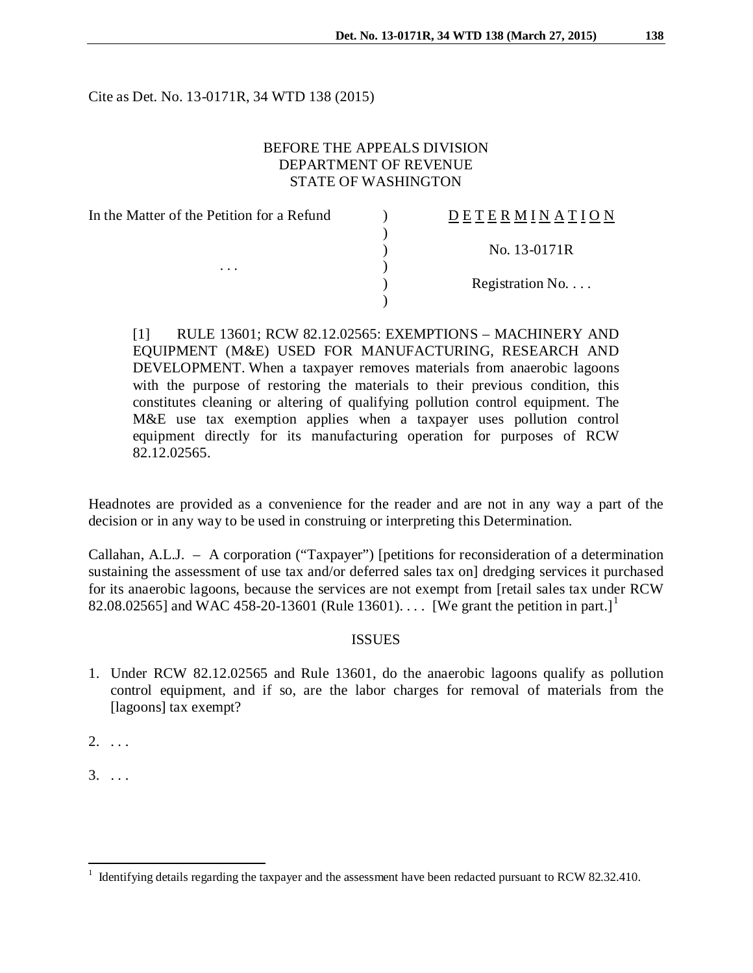Cite as Det. No. 13-0171R, 34 WTD 138 (2015)

# BEFORE THE APPEALS DIVISION DEPARTMENT OF REVENUE STATE OF WASHINGTON

| <b>DETERMINATION</b> |
|----------------------|
|                      |
| No. 13-0171R         |
|                      |
| Registration No.     |
|                      |
|                      |

[1] RULE 13601; RCW 82.12.02565: EXEMPTIONS – MACHINERY AND EQUIPMENT (M&E) USED FOR MANUFACTURING, RESEARCH AND DEVELOPMENT. When a taxpayer removes materials from anaerobic lagoons with the purpose of restoring the materials to their previous condition, this constitutes cleaning or altering of qualifying pollution control equipment. The M&E use tax exemption applies when a taxpayer uses pollution control equipment directly for its manufacturing operation for purposes of RCW 82.12.02565.

Headnotes are provided as a convenience for the reader and are not in any way a part of the decision or in any way to be used in construing or interpreting this Determination.

Callahan, A.L.J. – A corporation ("Taxpayer") [petitions for reconsideration of a determination sustaining the assessment of use tax and/or deferred sales tax on] dredging services it purchased for its anaerobic lagoons, because the services are not exempt from [retail sales tax under RCW 82.08.02565] and WAC 458-20-[1](#page-0-0)3601 (Rule 13601).... [We grant the petition in part.]<sup>1</sup>

# **ISSUES**

1. Under RCW 82.12.02565 and Rule 13601, do the anaerobic lagoons qualify as pollution control equipment, and if so, are the labor charges for removal of materials from the [lagoons] tax exempt?

2. . . .

 $3. \ldots$ 

<span id="page-0-0"></span><sup>1</sup> Identifying details regarding the taxpayer and the assessment have been redacted pursuant to RCW 82.32.410.  $\overline{a}$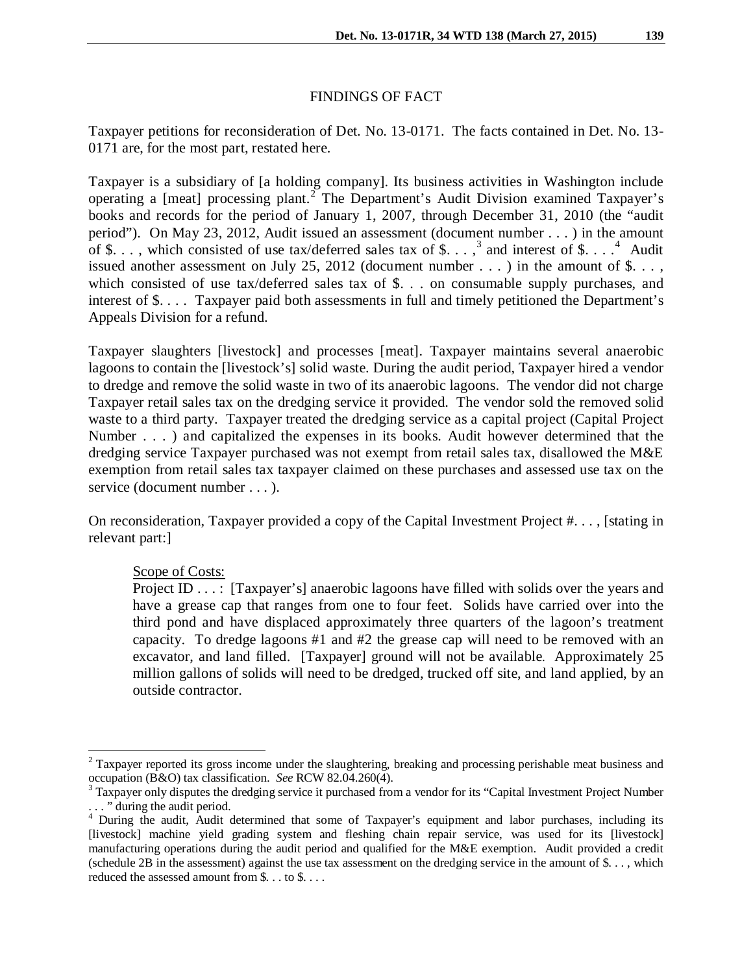## FINDINGS OF FACT

Taxpayer petitions for reconsideration of Det. No. 13-0171. The facts contained in Det. No. 13- 0171 are, for the most part, restated here.

Taxpayer is a subsidiary of [a holding company]. Its business activities in Washington include operating a [meat] processing plant.<sup>[2](#page-1-0)</sup> The Department's Audit Division examined Taxpayer's books and records for the period of January 1, 2007, through December 31, 2010 (the "audit period"). On May 23, 2012, Audit issued an assessment (document number . . . ) in the amount of \$..., which consisted of use tax/deferred sales tax of \$...,<sup>[3](#page-1-1)</sup> and interest of \$....<sup>[4](#page-1-2)</sup> Audit issued another assessment on July 25, 2012 (document number  $\dots$  ) in the amount of \$... which consisted of use tax/deferred sales tax of \$. . . on consumable supply purchases, and interest of \$. . . . Taxpayer paid both assessments in full and timely petitioned the Department's Appeals Division for a refund.

Taxpayer slaughters [livestock] and processes [meat]. Taxpayer maintains several anaerobic lagoons to contain the [livestock's] solid waste. During the audit period, Taxpayer hired a vendor to dredge and remove the solid waste in two of its anaerobic lagoons. The vendor did not charge Taxpayer retail sales tax on the dredging service it provided. The vendor sold the removed solid waste to a third party. Taxpayer treated the dredging service as a capital project (Capital Project Number . . . ) and capitalized the expenses in its books. Audit however determined that the dredging service Taxpayer purchased was not exempt from retail sales tax, disallowed the M&E exemption from retail sales tax taxpayer claimed on these purchases and assessed use tax on the service (document number . . . ).

On reconsideration, Taxpayer provided a copy of the Capital Investment Project #. . . , [stating in relevant part:]

### Scope of Costs:

 $\overline{a}$ 

Project ID . . . : [Taxpayer's] anaerobic lagoons have filled with solids over the years and have a grease cap that ranges from one to four feet. Solids have carried over into the third pond and have displaced approximately three quarters of the lagoon's treatment capacity. To dredge lagoons #1 and #2 the grease cap will need to be removed with an excavator, and land filled. [Taxpayer] ground will not be available. Approximately 25 million gallons of solids will need to be dredged, trucked off site, and land applied, by an outside contractor.

<span id="page-1-0"></span> $2$  Taxpayer reported its gross income under the slaughtering, breaking and processing perishable meat business and occupation (B&O) tax classification. *See* RCW 82.04.260(4).<br><sup>3</sup> Taxpayer only disputes the dredging service it purchased from a vendor for its "Capital Investment Project Number

<span id="page-1-1"></span><sup>. . . &</sup>quot; during the audit period.

<span id="page-1-2"></span><sup>&</sup>lt;sup>4</sup> During the audit, Audit determined that some of Taxpayer's equipment and labor purchases, including its [livestock] machine yield grading system and fleshing chain repair service, was used for its [livestock] manufacturing operations during the audit period and qualified for the M&E exemption. Audit provided a credit (schedule 2B in the assessment) against the use tax assessment on the dredging service in the amount of  $\hat{\mathcal{S}}$ ..., which reduced the assessed amount from \$. . . to \$. . . .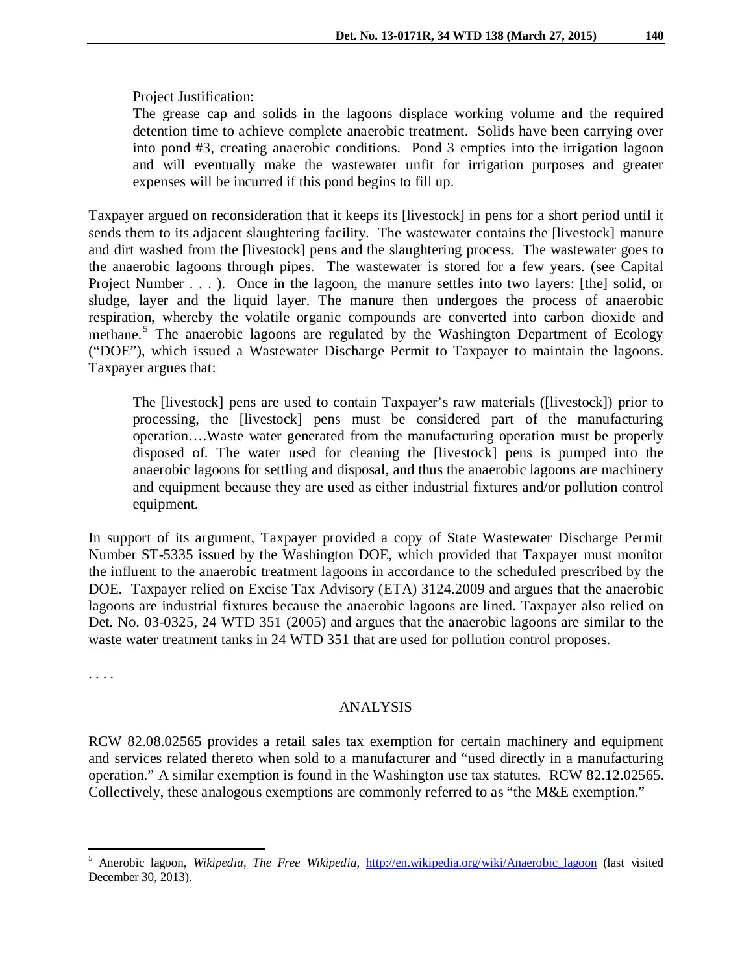### Project Justification:

The grease cap and solids in the lagoons displace working volume and the required detention time to achieve complete anaerobic treatment. Solids have been carrying over into pond #3, creating anaerobic conditions. Pond 3 empties into the irrigation lagoon and will eventually make the wastewater unfit for irrigation purposes and greater expenses will be incurred if this pond begins to fill up.

Taxpayer argued on reconsideration that it keeps its [livestock] in pens for a short period until it sends them to its adjacent slaughtering facility. The wastewater contains the [livestock] manure and dirt washed from the [livestock] pens and the slaughtering process. The wastewater goes to the anaerobic lagoons through pipes. The wastewater is stored for a few years. (see Capital Project Number . . . ). Once in the lagoon, the manure settles into two layers: [the] solid, or sludge, layer and the liquid layer. The manure then undergoes the process of anaerobic respiration, whereby the [volatile organic compounds](http://en.wikipedia.org/wiki/Volatile_organic_compounds) are converted into [carbon dioxide](http://en.wikipedia.org/wiki/Carbon_dioxide) and [methane.](http://en.wikipedia.org/wiki/Methane)<sup>[5](#page-2-0)</sup> The anaerobic lagoons are regulated by the Washington Department of Ecology ("DOE"), which issued a Wastewater Discharge Permit to Taxpayer to maintain the lagoons. Taxpayer argues that:

The [livestock] pens are used to contain Taxpayer's raw materials ([livestock]) prior to processing, the [livestock] pens must be considered part of the manufacturing operation….Waste water generated from the manufacturing operation must be properly disposed of. The water used for cleaning the [livestock] pens is pumped into the anaerobic lagoons for settling and disposal, and thus the anaerobic lagoons are machinery and equipment because they are used as either industrial fixtures and/or pollution control equipment.

In support of its argument, Taxpayer provided a copy of State Wastewater Discharge Permit Number ST-5335 issued by the Washington DOE, which provided that Taxpayer must monitor the influent to the anaerobic treatment lagoons in accordance to the scheduled prescribed by the DOE. Taxpayer relied on Excise Tax Advisory (ETA) 3124.2009 and argues that the anaerobic lagoons are industrial fixtures because the anaerobic lagoons are lined. Taxpayer also relied on Det. No. 03-0325, 24 WTD 351 (2005) and argues that the anaerobic lagoons are similar to the waste water treatment tanks in 24 WTD 351 that are used for pollution control proposes.

. . . .

l

#### ANALYSIS

RCW 82.08.02565 provides a retail sales tax exemption for certain machinery and equipment and services related thereto when sold to a manufacturer and "used directly in a manufacturing operation." A similar exemption is found in the Washington use tax statutes. RCW 82.12.02565. Collectively, these analogous exemptions are commonly referred to as "the M&E exemption."

<span id="page-2-0"></span><sup>&</sup>lt;sup>5</sup> Anerobic lagoon, *Wikipedia, The Free Wikipedia*, *http://en.wikipedia.org/wiki/Anaerobic lagoon* (last visited December 30, 2013).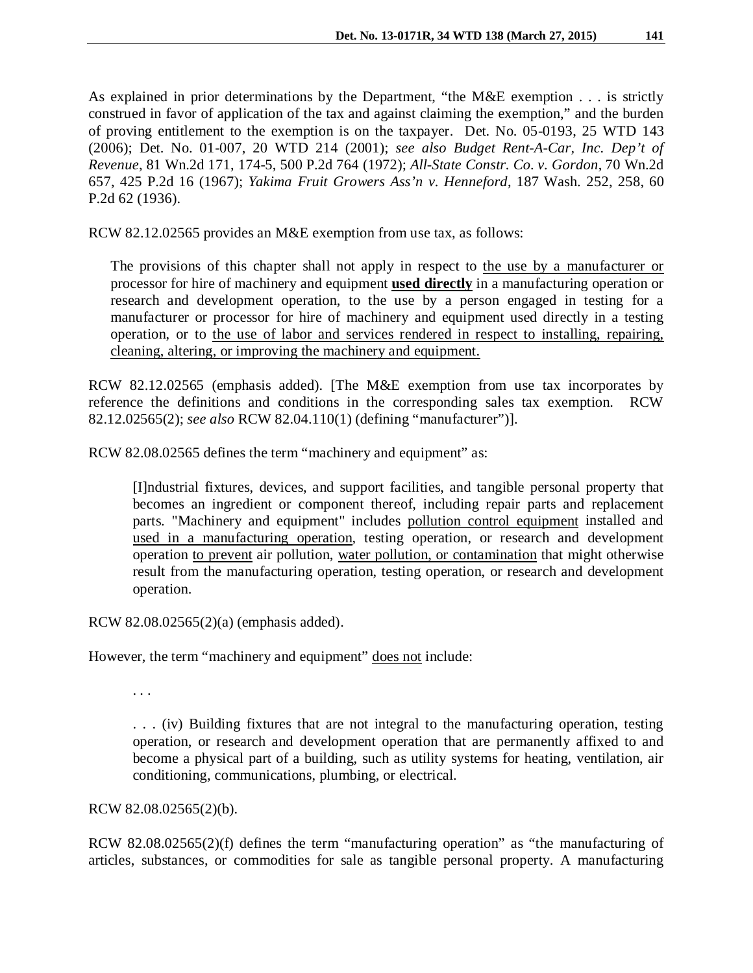As explained in prior determinations by the Department, "the M&E exemption . . . is strictly construed in favor of application of the tax and against claiming the exemption," and the burden of proving entitlement to the exemption is on the taxpayer. Det. No. 05-0193, 25 WTD 143 (2006); Det. No. 01-007, 20 WTD 214 (2001); *see also Budget Rent-A-Car, Inc. Dep't of Revenue*, 81 Wn.2d 171, 174-5, 500 P.2d 764 (1972); *All-State Constr. Co. v. Gordon*, 70 Wn.2d 657, 425 P.2d 16 (1967); *Yakima Fruit Growers Ass'n v. Henneford*, 187 Wash. 252, 258, 60 P.2d 62 (1936).

RCW 82.12.02565 provides an M&E exemption from use tax, as follows:

The provisions of this chapter shall not apply in respect to the use by a manufacturer or processor for hire of machinery and equipment **used directly** in a manufacturing operation or research and development operation, to the use by a person engaged in testing for a manufacturer or processor for hire of machinery and equipment used directly in a testing operation, or to the use of labor and services rendered in respect to installing, repairing, cleaning, altering, or improving the machinery and equipment.

RCW 82.12.02565 (emphasis added). [The M&E exemption from use tax incorporates by reference the definitions and conditions in the corresponding sales tax exemption. RCW 82.12.02565(2); *see also* RCW 82.04.110(1) (defining "manufacturer")].

RCW 82.08.02565 defines the term "machinery and equipment" as:

[I]ndustrial fixtures, devices, and support facilities, and tangible personal property that becomes an ingredient or component thereof, including repair parts and replacement parts. "Machinery and equipment" includes pollution control equipment installed and used in a manufacturing operation, testing operation, or research and development operation to prevent air pollution, water pollution, or contamination that might otherwise result from the manufacturing operation, testing operation, or research and development operation.

RCW 82.08.02565(2)(a) (emphasis added).

However, the term "machinery and equipment" does not include:

. . .

. . . (iv) Building fixtures that are not integral to the manufacturing operation, testing operation, or research and development operation that are permanently affixed to and become a physical part of a building, such as utility systems for heating, ventilation, air conditioning, communications, plumbing, or electrical.

RCW 82.08.02565(2)(b).

RCW 82.08.02565(2)(f) defines the term "manufacturing operation" as "the manufacturing of articles, substances, or commodities for sale as tangible personal property. A manufacturing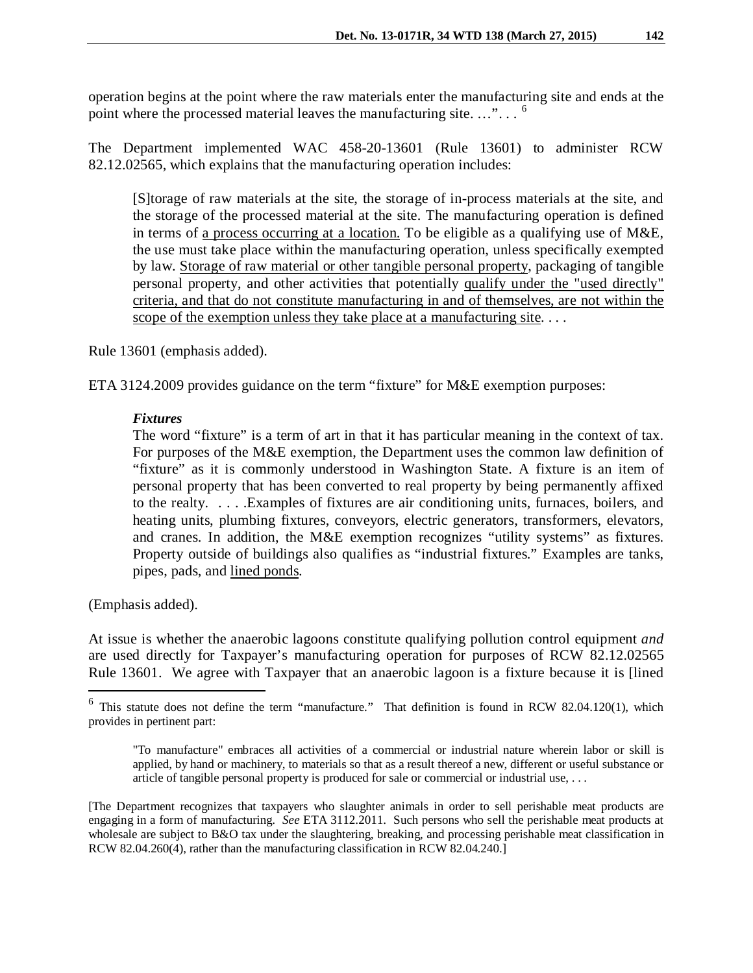operation begins at the point where the raw materials enter the manufacturing site and ends at the point where the processed material leaves the manufacturing site. ..."...<sup>[6](#page-4-0)</sup>

The Department implemented WAC 458-20-13601 (Rule 13601) to administer RCW 82.12.02565, which explains that the manufacturing operation includes:

[S]torage of raw materials at the site, the storage of in-process materials at the site, and the storage of the processed material at the site. The manufacturing operation is defined in terms of a process occurring at a location. To be eligible as a qualifying use of M&E, the use must take place within the manufacturing operation, unless specifically exempted by law. Storage of raw material or other tangible personal property, packaging of tangible personal property, and other activities that potentially qualify under the "used directly" criteria, and that do not constitute manufacturing in and of themselves, are not within the scope of the exemption unless they take place at a manufacturing site....

Rule 13601 (emphasis added).

ETA 3124.2009 provides guidance on the term "fixture" for M&E exemption purposes:

## *Fixtures*

The word "fixture" is a term of art in that it has particular meaning in the context of tax. For purposes of the M&E exemption, the Department uses the common law definition of "fixture" as it is commonly understood in Washington State. A fixture is an item of personal property that has been converted to real property by being permanently affixed to the realty. . . . .Examples of fixtures are air conditioning units, furnaces, boilers, and heating units, plumbing fixtures, conveyors, electric generators, transformers, elevators, and cranes. In addition, the M&E exemption recognizes "utility systems" as fixtures. Property outside of buildings also qualifies as "industrial fixtures." Examples are tanks, pipes, pads, and lined ponds.

(Emphasis added).

 $\overline{a}$ 

At issue is whether the anaerobic lagoons constitute qualifying pollution control equipment *and* are used directly for Taxpayer's manufacturing operation for purposes of RCW 82.12.02565 Rule 13601. We agree with Taxpayer that an anaerobic lagoon is a fixture because it is [lined

<span id="page-4-0"></span> $6$  This statute does not define the term "manufacture." That definition is found in RCW 82.04.120(1), which provides in pertinent part:

<sup>&</sup>quot;To manufacture" embraces all activities of a commercial or industrial nature wherein labor or skill is applied, by hand or machinery, to materials so that as a result thereof a new, different or useful substance or article of tangible personal property is produced for sale or commercial or industrial use, . . .

<sup>[</sup>The Department recognizes that taxpayers who slaughter animals in order to sell perishable meat products are engaging in a form of manufacturing. *See* ETA 3112.2011. Such persons who sell the perishable meat products at wholesale are subject to B&O tax under the slaughtering, breaking, and processing perishable meat classification in RCW 82.04.260(4), rather than the manufacturing classification in RCW 82.04.240.]